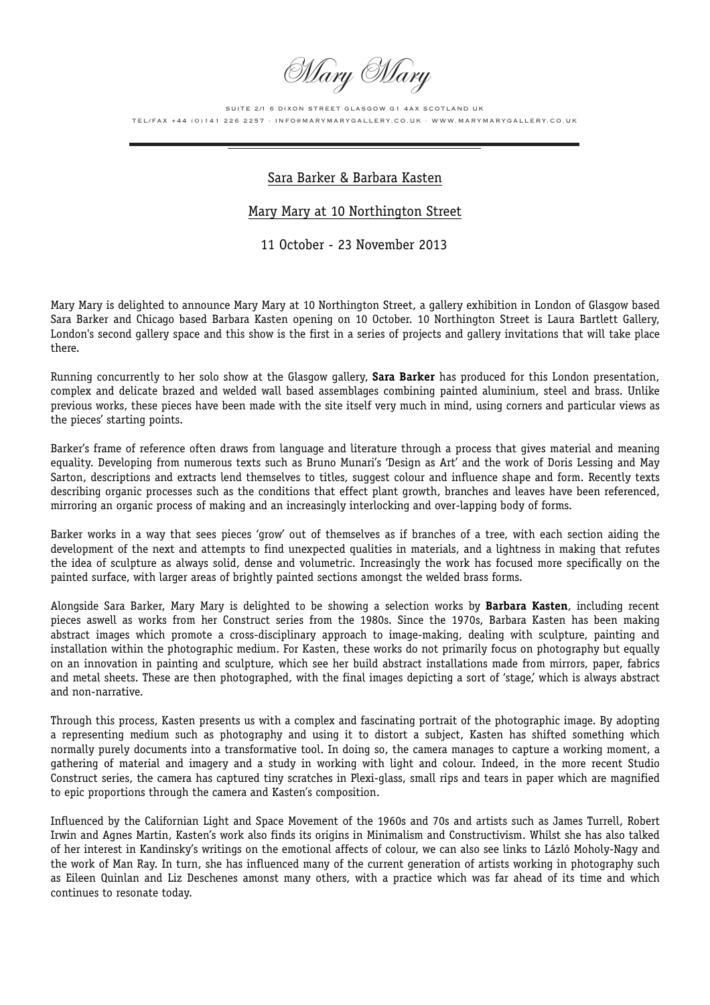Mary Mary

SUITE 2/1 6 DIXON STREET GLASGOW G1 4AX SCOTLAND UK TEL/FAX +44 (0)141 226 2257 · INFO@MARYMARYGALLERY.CO.UK · WWW.MARYMARYGALLERY.CO.UK

## Sara Barker & Barbara Kasten

## Mary Mary at 10 Northington Street

## 11 October - 23 November 2013

Mary Mary is delighted to announce Mary Mary at 10 Northington Street, a gallery exhibition in London of Glasgow based Sara Barker and Chicago based Barbara Kasten opening on 10 October. 10 Northington Street is Laura Bartlett Gallery, London's second gallery space and this show is the first in a series of projects and gallery invitations that will take place there.

Running concurrently to her solo show at the Glasgow gallery, **Sara Barker** has produced for this London presentation, complex and delicate brazed and welded wall based assemblages combining painted aluminium, steel and brass. Unlike previous works, these pieces have been made with the site itself very much in mind, using corners and particular views as the pieces' starting points.

Barker's frame of reference often draws from language and literature through a process that gives material and meaning equality. Developing from numerous texts such as Bruno Munari's 'Design as Art' and the work of Doris Lessing and May Sarton, descriptions and extracts lend themselves to titles, suggest colour and influence shape and form. Recently texts describing organic processes such as the conditions that effect plant growth, branches and leaves have been referenced, mirroring an organic process of making and an increasingly interlocking and over-lapping body of forms.

Barker works in a way that sees pieces 'grow' out of themselves as if branches of a tree, with each section aiding the development of the next and attempts to find unexpected qualities in materials, and a lightness in making that refutes the idea of sculpture as always solid, dense and volumetric. Increasingly the work has focused more specifically on the painted surface, with larger areas of brightly painted sections amongst the welded brass forms.

Alongside Sara Barker, Mary Mary is delighted to be showing a selection works by **Barbara Kasten**, including recent pieces aswell as works from her Construct series from the 1980s. Since the 1970s, Barbara Kasten has been making abstract images which promote a cross-disciplinary approach to image-making, dealing with sculpture, painting and installation within the photographic medium. For Kasten, these works do not primarily focus on photography but equally on an innovation in painting and sculpture, which see her build abstract installations made from mirrors, paper, fabrics and metal sheets. These are then photographed, with the final images depicting a sort of 'stage', which is always abstract and non-narrative.

Through this process, Kasten presents us with a complex and fascinating portrait of the photographic image. By adopting a representing medium such as photography and using it to distort a subject, Kasten has shifted something which normally purely documents into a transformative tool. In doing so, the camera manages to capture a working moment, a gathering of material and imagery and a study in working with light and colour. Indeed, in the more recent Studio Construct series, the camera has captured tiny scratches in Plexi-glass, small rips and tears in paper which are magnified to epic proportions through the camera and Kasten's composition.

Influenced by the Californian Light and Space Movement of the 1960s and 70s and artists such as James Turrell, Robert Irwin and Agnes Martin, Kasten's work also finds its origins in Minimalism and Constructivism. Whilst she has also talked of her interest in Kandinsky's writings on the emotional affects of colour, we can also see links to Lázló Moholy-Nagy and the work of Man Ray. In turn, she has influenced many of the current generation of artists working in photography such as Eileen Quinlan and Liz Deschenes amonst many others, with a practice which was far ahead of its time and which continues to resonate today.